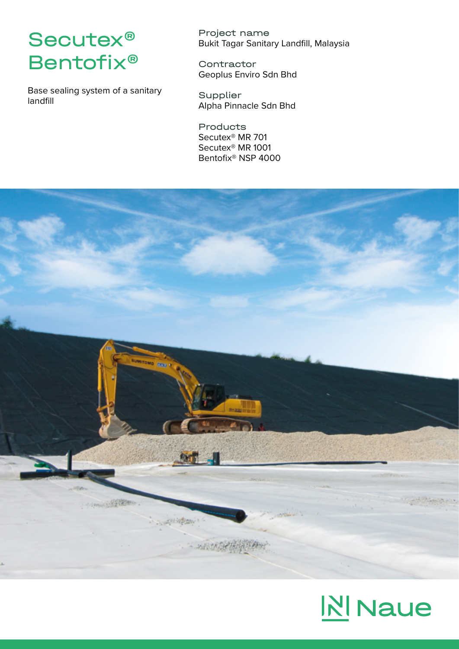## Secutex® Bentofix®

Base sealing system of a sanitary landfill

Project name Bukit Tagar Sanitary Landfill, Malaysia

**Contractor** Geoplus Enviro Sdn Bhd

Supplier Alpha Pinnacle Sdn Bhd

Products Secutex® MR 701 Secutex® MR 1001 Bentofix® NSP 4000



## **N** Naue